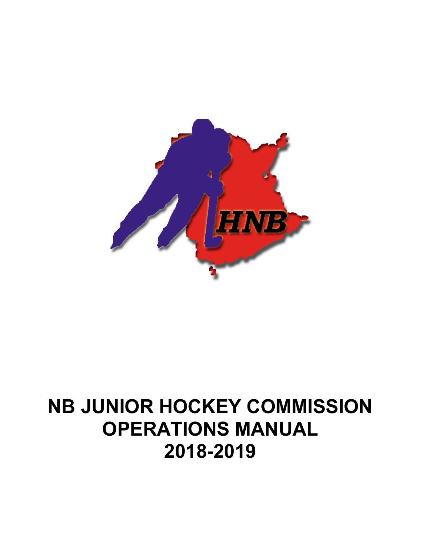

# **NB JUNIOR HOCKEY COMMISSION OPERATIONS MANUAL 2018-2019**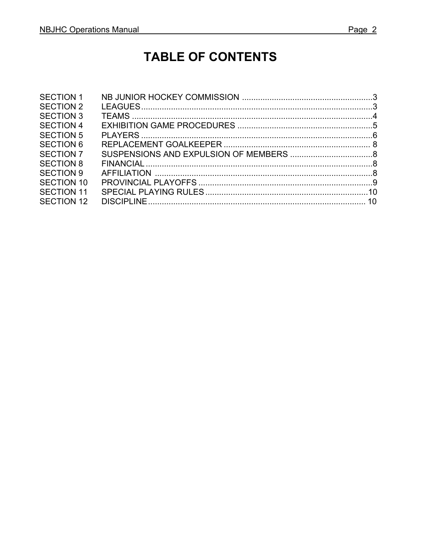# **TABLE OF CONTENTS**

| <b>SECTION 1</b>  |  |
|-------------------|--|
| <b>SECTION 2</b>  |  |
| <b>SECTION 3</b>  |  |
| <b>SECTION 4</b>  |  |
| <b>SECTION 5</b>  |  |
| <b>SECTION 6</b>  |  |
| <b>SECTION 7</b>  |  |
| <b>SECTION 8</b>  |  |
| <b>SECTION 9</b>  |  |
| <b>SECTION 10</b> |  |
| <b>SECTION 11</b> |  |
| <b>SECTION 12</b> |  |
|                   |  |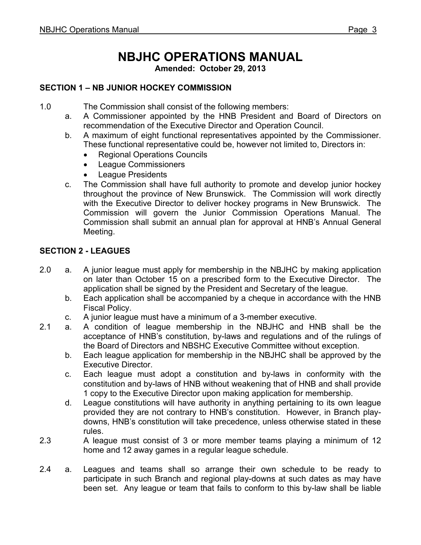# **NBJHC OPERATIONS MANUAL**

**Amended: October 29, 2013**

# **SECTION 1 – NB JUNIOR HOCKEY COMMISSION**

1.0 The Commission shall consist of the following members:

- a. A Commissioner appointed by the HNB President and Board of Directors on recommendation of the Executive Director and Operation Council.
- b. A maximum of eight functional representatives appointed by the Commissioner. These functional representative could be, however not limited to, Directors in:
	- Regional Operations Councils
	- League Commissioners
	- League Presidents
- c. The Commission shall have full authority to promote and develop junior hockey throughout the province of New Brunswick. The Commission will work directly with the Executive Director to deliver hockey programs in New Brunswick. The Commission will govern the Junior Commission Operations Manual. The Commission shall submit an annual plan for approval at HNB's Annual General Meeting.

### **SECTION 2 - LEAGUES**

- 2.0 a. A junior league must apply for membership in the NBJHC by making application on later than October 15 on a prescribed form to the Executive Director. The application shall be signed by the President and Secretary of the league.
	- b. Each application shall be accompanied by a cheque in accordance with the HNB Fiscal Policy.
	- c. A junior league must have a minimum of a 3-member executive.
- 2.1 a. A condition of league membership in the NBJHC and HNB shall be the acceptance of HNB's constitution, by-laws and regulations and of the rulings of the Board of Directors and NBSHC Executive Committee without exception.
	- b. Each league application for membership in the NBJHC shall be approved by the Executive Director.
	- c. Each league must adopt a constitution and by-laws in conformity with the constitution and by-laws of HNB without weakening that of HNB and shall provide 1 copy to the Executive Director upon making application for membership.
	- d. League constitutions will have authority in anything pertaining to its own league provided they are not contrary to HNB's constitution. However, in Branch playdowns, HNB's constitution will take precedence, unless otherwise stated in these rules.
- 2.3 A league must consist of 3 or more member teams playing a minimum of 12 home and 12 away games in a regular league schedule.
- 2.4 a. Leagues and teams shall so arrange their own schedule to be ready to participate in such Branch and regional play-downs at such dates as may have been set. Any league or team that fails to conform to this by-law shall be liable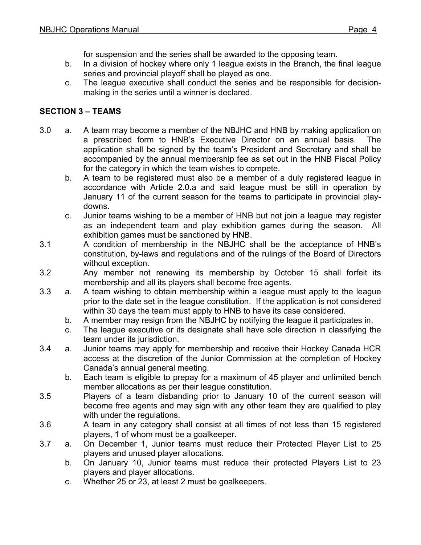for suspension and the series shall be awarded to the opposing team.

- b. In a division of hockey where only 1 league exists in the Branch, the final league series and provincial playoff shall be played as one.
- c. The league executive shall conduct the series and be responsible for decisionmaking in the series until a winner is declared.

## **SECTION 3 – TEAMS**

- 3.0 a. A team may become a member of the NBJHC and HNB by making application on a prescribed form to HNB's Executive Director on an annual basis. The application shall be signed by the team's President and Secretary and shall be accompanied by the annual membership fee as set out in the HNB Fiscal Policy for the category in which the team wishes to compete.
	- b. A team to be registered must also be a member of a duly registered league in accordance with Article 2.0.a and said league must be still in operation by January 11 of the current season for the teams to participate in provincial playdowns.
	- c. Junior teams wishing to be a member of HNB but not join a league may register as an independent team and play exhibition games during the season. All exhibition games must be sanctioned by HNB.
- 3.1 A condition of membership in the NBJHC shall be the acceptance of HNB's constitution, by-laws and regulations and of the rulings of the Board of Directors without exception.
- 3.2 Any member not renewing its membership by October 15 shall forfeit its membership and all its players shall become free agents.
- 3.3 a. A team wishing to obtain membership within a league must apply to the league prior to the date set in the league constitution. If the application is not considered within 30 days the team must apply to HNB to have its case considered.
	- b. A member may resign from the NBJHC by notifying the league it participates in.
	- c. The league executive or its designate shall have sole direction in classifying the team under its jurisdiction.
- 3.4 a. Junior teams may apply for membership and receive their Hockey Canada HCR access at the discretion of the Junior Commission at the completion of Hockey Canada's annual general meeting.
	- b. Each team is eligible to prepay for a maximum of 45 player and unlimited bench member allocations as per their league constitution.
- 3.5 Players of a team disbanding prior to January 10 of the current season will become free agents and may sign with any other team they are qualified to play with under the regulations.
- 3.6 A team in any category shall consist at all times of not less than 15 registered players, 1 of whom must be a goalkeeper.
- 3.7 a. On December 1, Junior teams must reduce their Protected Player List to 25 players and unused player allocations.
	- b. On January 10, Junior teams must reduce their protected Players List to 23 players and player allocations.
	- c. Whether 25 or 23, at least 2 must be goalkeepers.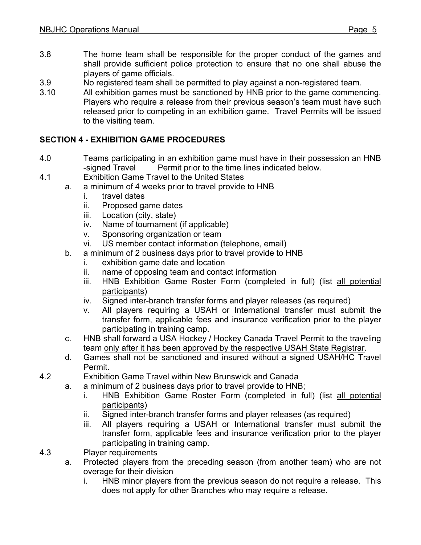- 3.8 The home team shall be responsible for the proper conduct of the games and shall provide sufficient police protection to ensure that no one shall abuse the players of game officials.
- 3.9 No registered team shall be permitted to play against a non-registered team.
- 3.10 All exhibition games must be sanctioned by HNB prior to the game commencing. Players who require a release from their previous season's team must have such released prior to competing in an exhibition game. Travel Permits will be issued to the visiting team.

# **SECTION 4 - EXHIBITION GAME PROCEDURES**

- 4.0 Teams participating in an exhibition game must have in their possession an HNB -signed Travel Permit prior to the time lines indicated below.
- 4.1 Exhibition Game Travel to the United States
	- a. a minimum of 4 weeks prior to travel provide to HNB
		- i. travel dates
		- ii. Proposed game dates
		- iii. Location (city, state)
		- iv. Name of tournament (if applicable)
		- v. Sponsoring organization or team
		- vi. US member contact information (telephone, email)
		- b. a minimum of 2 business days prior to travel provide to HNB
			- i. exhibition game date and location
			- ii. name of opposing team and contact information
			- iii. HNB Exhibition Game Roster Form (completed in full) (list all potential participants)
			- iv. Signed inter-branch transfer forms and player releases (as required)
			- v. All players requiring a USAH or International transfer must submit the transfer form, applicable fees and insurance verification prior to the player participating in training camp.
		- c. HNB shall forward a USA Hockey / Hockey Canada Travel Permit to the traveling team only after it has been approved by the respective USAH State Registrar.
		- d. Games shall not be sanctioned and insured without a signed USAH/HC Travel Permit.
- 4.2 Exhibition Game Travel within New Brunswick and Canada
	- a. a minimum of 2 business days prior to travel provide to HNB;
		- i. HNB Exhibition Game Roster Form (completed in full) (list all potential participants)
		- ii. Signed inter-branch transfer forms and player releases (as required)
		- iii. All players requiring a USAH or International transfer must submit the transfer form, applicable fees and insurance verification prior to the player participating in training camp.
- 4.3 Player requirements
	- a. Protected players from the preceding season (from another team) who are not overage for their division
		- i. HNB minor players from the previous season do not require a release. This does not apply for other Branches who may require a release.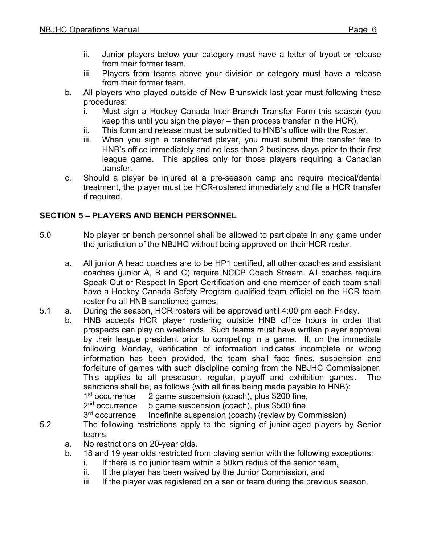- ii. Junior players below your category must have a letter of tryout or release from their former team.
- iii. Players from teams above your division or category must have a release from their former team.
- b. All players who played outside of New Brunswick last year must following these procedures:
	- i. Must sign a Hockey Canada Inter-Branch Transfer Form this season (you keep this until you sign the player – then process transfer in the HCR).
	- ii. This form and release must be submitted to HNB's office with the Roster.
	- iii. When you sign a transferred player, you must submit the transfer fee to HNB's office immediately and no less than 2 business days prior to their first league game. This applies only for those players requiring a Canadian transfer.
- c. Should a player be injured at a pre-season camp and require medical/dental treatment, the player must be HCR-rostered immediately and file a HCR transfer if required.

# **SECTION 5 – PLAYERS AND BENCH PERSONNEL**

- 5.0 No player or bench personnel shall be allowed to participate in any game under the jurisdiction of the NBJHC without being approved on their HCR roster.
	- a. All junior A head coaches are to be HP1 certified, all other coaches and assistant coaches (junior A, B and C) require NCCP Coach Stream. All coaches require Speak Out or Respect In Sport Certification and one member of each team shall have a Hockey Canada Safety Program qualified team official on the HCR team roster fro all HNB sanctioned games.
- 5.1 a. During the season, HCR rosters will be approved until 4:00 pm each Friday.
	- b. HNB accepts HCR player rostering outside HNB office hours in order that prospects can play on weekends. Such teams must have written player approval by their league president prior to competing in a game. If, on the immediate following Monday, verification of information indicates incomplete or wrong information has been provided, the team shall face fines, suspension and forfeiture of games with such discipline coming from the NBJHC Commissioner. This applies to all preseason, regular, playoff and exhibition games. The sanctions shall be, as follows (with all fines being made payable to HNB):

1st occurrence 2 game suspension (coach), plus \$200 fine,  $2<sup>nd</sup>$  occurrence 5 game suspension (coach), plus \$500 fine,

5 game suspension (coach), plus \$500 fine,

- 3<sup>rd</sup> occurrence Indefinite suspension (coach) (review by Commission)
- 5.2 The following restrictions apply to the signing of junior-aged players by Senior teams:
	- a. No restrictions on 20-year olds.
	- b. 18 and 19 year olds restricted from playing senior with the following exceptions:
		- i. If there is no junior team within a 50km radius of the senior team,
		- ii. If the player has been waived by the Junior Commission, and
		- iii. If the player was registered on a senior team during the previous season.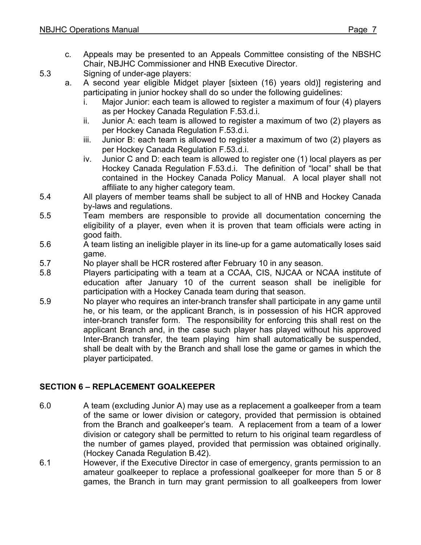c. Appeals may be presented to an Appeals Committee consisting of the NBSHC Chair, NBJHC Commissioner and HNB Executive Director.

5.3 Signing of under-age players:

- a. A second year eligible Midget player [sixteen (16) years old)] registering and participating in junior hockey shall do so under the following guidelines:
	- i. Major Junior: each team is allowed to register a maximum of four (4) players as per Hockey Canada Regulation F.53.d.i.
	- ii. Junior A: each team is allowed to register a maximum of two (2) players as per Hockey Canada Regulation F.53.d.i.
	- iii. Junior B: each team is allowed to register a maximum of two (2) players as per Hockey Canada Regulation F.53.d.i.
	- iv. Junior C and D: each team is allowed to register one (1) local players as per Hockey Canada Regulation F.53.d.i. The definition of "local" shall be that contained in the Hockey Canada Policy Manual. A local player shall not affiliate to any higher category team.
- 5.4 All players of member teams shall be subject to all of HNB and Hockey Canada by-laws and regulations.
- 5.5 Team members are responsible to provide all documentation concerning the eligibility of a player, even when it is proven that team officials were acting in good faith.
- 5.6 A team listing an ineligible player in its line-up for a game automatically loses said game.
- 5.7 No player shall be HCR rostered after February 10 in any season.
- 5.8 Players participating with a team at a CCAA, CIS, NJCAA or NCAA institute of education after January 10 of the current season shall be ineligible for participation with a Hockey Canada team during that season.
- 5.9 No player who requires an inter-branch transfer shall participate in any game until he, or his team, or the applicant Branch, is in possession of his HCR approved inter-branch transfer form. The responsibility for enforcing this shall rest on the applicant Branch and, in the case such player has played without his approved Inter-Branch transfer, the team playing him shall automatically be suspended, shall be dealt with by the Branch and shall lose the game or games in which the player participated.

# **SECTION 6 – REPLACEMENT GOALKEEPER**

- 6.0 A team (excluding Junior A) may use as a replacement a goalkeeper from a team of the same or lower division or category, provided that permission is obtained from the Branch and goalkeeper's team. A replacement from a team of a lower division or category shall be permitted to return to his original team regardless of the number of games played, provided that permission was obtained originally. (Hockey Canada Regulation B.42).
- 6.1 However, if the Executive Director in case of emergency, grants permission to an amateur goalkeeper to replace a professional goalkeeper for more than 5 or 8 games, the Branch in turn may grant permission to all goalkeepers from lower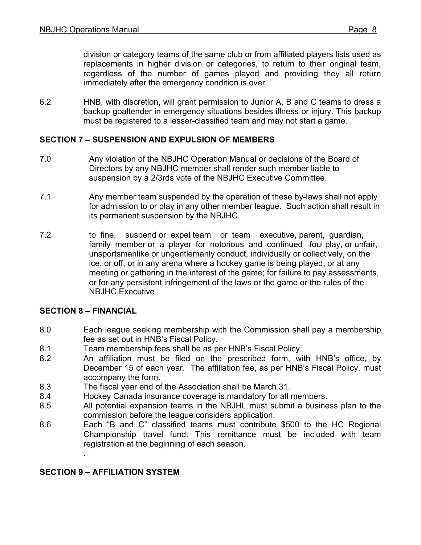division or category teams of the same club or from affiliated players lists used as replacements in higher division or categories, to return to their original team, regardless of the number of games played and providing they all return immediately after the emergency condition is over.

6.2 HNB, with discretion, will grant permission to Junior A, B and C teams to dress a backup goaltender in emergency situations besides illness or injury. This backup must be registered to a lesser-classified team and may not start a game.

### **SECTION 7 – SUSPENSION AND EXPULSION OF MEMBERS**

- 7.0 Any violation of the NBJHC Operation Manual or decisions of the Board of Directors by any NBJHC member shall render such member liable to suspension by a 2/3rds vote of the NBJHC Executive Committee.
- 7.1 Any member team suspended by the operation of these by-laws shall not apply for admission to or play in any other member league. Such action shall result in its permanent suspension by the NBJHC.
- 7.2 to fine, suspend or expel team or team executive, parent, guardian, family member or a player for notorious and continued foul play, or unfair, unsportsmanlike or ungentlemanly conduct, individually or collectively, on the ice, or off, or in any arena where a hockey game is being played, or at any meeting or gathering in the interest of the game; for failure to pay assessments, or for any persistent infringement of the laws or the game or the rules of the NBJHC Executive

#### **SECTION 8 – FINANCIAL**

- 8.0 Each league seeking membership with the Commission shall pay a membership fee as set out in HNB's Fiscal Policy.
- 8.1 Team membership fees shall be as per HNB's Fiscal Policy.
- 8.2 An affiliation must be filed on the prescribed form, with HNB's office, by December 15 of each year. The affiliation fee, as per HNB's Fiscal Policy, must accompany the form.
- 8.3 The fiscal year end of the Association shall be March 31.
- 8.4 Hockey Canada insurance coverage is mandatory for all members.
- 8.5 All potential expansion teams in the NBJHL must submit a business plan to the commission before the league considers application.
- 8.6 Each "B and C" classified teams must contribute \$500 to the HC Regional Championship travel fund. This remittance must be included with team registration at the beginning of each season.

### **SECTION 9 – AFFILIATION SYSTEM**

.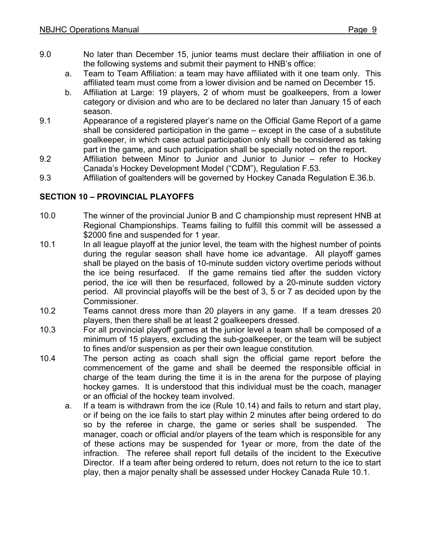- 9.0 No later than December 15, junior teams must declare their affiliation in one of the following systems and submit their payment to HNB's office:
	- a. Team to Team Affiliation: a team may have affiliated with it one team only. This affiliated team must come from a lower division and be named on December 15.
	- b. Affiliation at Large: 19 players, 2 of whom must be goalkeepers, from a lower category or division and who are to be declared no later than January 15 of each season.
- 9.1 Appearance of a registered player's name on the Official Game Report of a game shall be considered participation in the game – except in the case of a substitute goalkeeper, in which case actual participation only shall be considered as taking part in the game, and such participation shall be specially noted on the report.
- 9.2 Affiliation between Minor to Junior and Junior to Junior refer to Hockey Canada's Hockey Development Model ("CDM"), Regulation F.53.
- 9.3 Affiliation of goaltenders will be governed by Hockey Canada Regulation E.36.b.

# **SECTION 10 – PROVINCIAL PLAYOFFS**

- 10.0 The winner of the provincial Junior B and C championship must represent HNB at Regional Championships. Teams failing to fulfill this commit will be assessed a \$2000 fine and suspended for 1 year.
- 10.1 In all league playoff at the junior level, the team with the highest number of points during the regular season shall have home ice advantage. All playoff games shall be played on the basis of 10-minute sudden victory overtime periods without the ice being resurfaced. If the game remains tied after the sudden victory period, the ice will then be resurfaced, followed by a 20-minute sudden victory period. All provincial playoffs will be the best of 3, 5 or 7 as decided upon by the Commissioner.
- 10.2 Teams cannot dress more than 20 players in any game. If a team dresses 20 players, then there shall be at least 2 goalkeepers dressed.
- 10.3 For all provincial playoff games at the junior level a team shall be composed of a minimum of 15 players, excluding the sub-goalkeeper, or the team will be subject to fines and/or suspension as per their own league constitution*.*
- 10.4 The person acting as coach shall sign the official game report before the commencement of the game and shall be deemed the responsible official in charge of the team during the time it is in the arena for the purpose of playing hockey games. It is understood that this individual must be the coach, manager or an official of the hockey team involved.
	- a. If a team is withdrawn from the ice (Rule 10.14) and fails to return and start play, or if being on the ice fails to start play within 2 minutes after being ordered to do so by the referee in charge, the game or series shall be suspended. The manager, coach or official and/or players of the team which is responsible for any of these actions may be suspended for 1year or more, from the date of the infraction. The referee shall report full details of the incident to the Executive Director. If a team after being ordered to return, does not return to the ice to start play, then a major penalty shall be assessed under Hockey Canada Rule 10.1.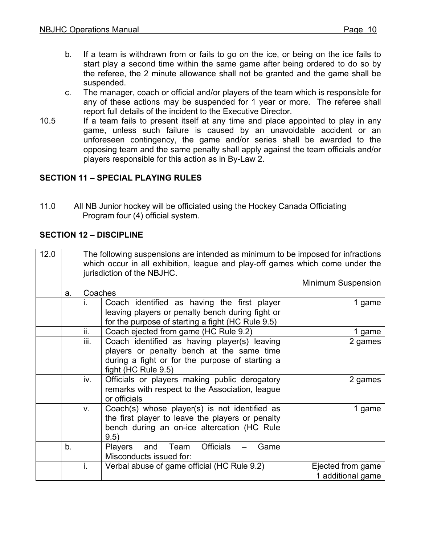- b. If a team is withdrawn from or fails to go on the ice, or being on the ice fails to start play a second time within the same game after being ordered to do so by the referee, the 2 minute allowance shall not be granted and the game shall be suspended.
- c. The manager, coach or official and/or players of the team which is responsible for any of these actions may be suspended for 1 year or more. The referee shall report full details of the incident to the Executive Director.
- 10.5 If a team fails to present itself at any time and place appointed to play in any game, unless such failure is caused by an unavoidable accident or an unforeseen contingency, the game and/or series shall be awarded to the opposing team and the same penalty shall apply against the team officials and/or players responsible for this action as in By-Law 2.

# **SECTION 11 – SPECIAL PLAYING RULES**

11.0 All NB Junior hockey will be officiated using the Hockey Canada Officiating Program four (4) official system.

### **SECTION 12 – DISCIPLINE**

| 12.0 |    | The following suspensions are intended as minimum to be imposed for infractions<br>which occur in all exhibition, league and play-off games which come under the<br>jurisdiction of the NBJHC. |                                                           |                           |  |
|------|----|------------------------------------------------------------------------------------------------------------------------------------------------------------------------------------------------|-----------------------------------------------------------|---------------------------|--|
|      |    |                                                                                                                                                                                                |                                                           | <b>Minimum Suspension</b> |  |
|      | a. | Coaches                                                                                                                                                                                        |                                                           |                           |  |
|      |    | i.                                                                                                                                                                                             | Coach identified as having the first player               | 1 game                    |  |
|      |    |                                                                                                                                                                                                | leaving players or penalty bench during fight or          |                           |  |
|      |    |                                                                                                                                                                                                | for the purpose of starting a fight (HC Rule 9.5)         |                           |  |
|      |    | ii.                                                                                                                                                                                            | Coach ejected from game (HC Rule 9.2)                     | 1 game                    |  |
|      |    | iii.                                                                                                                                                                                           | Coach identified as having player(s) leaving              | 2 games                   |  |
|      |    |                                                                                                                                                                                                | players or penalty bench at the same time                 |                           |  |
|      |    |                                                                                                                                                                                                | during a fight or for the purpose of starting a           |                           |  |
|      |    |                                                                                                                                                                                                | fight (HC Rule 9.5)                                       |                           |  |
|      |    | iv.                                                                                                                                                                                            | Officials or players making public derogatory             | 2 games                   |  |
|      |    |                                                                                                                                                                                                | remarks with respect to the Association, league           |                           |  |
|      |    |                                                                                                                                                                                                | or officials                                              |                           |  |
|      |    | $V_{\rm r}$                                                                                                                                                                                    | Coach(s) whose player(s) is not identified as             | 1 game                    |  |
|      |    |                                                                                                                                                                                                | the first player to leave the players or penalty          |                           |  |
|      |    |                                                                                                                                                                                                | bench during an on-ice altercation (HC Rule<br>9.5)       |                           |  |
|      | b. |                                                                                                                                                                                                | <b>Officials</b><br>Game<br>Team<br><b>Players</b><br>and |                           |  |
|      |    |                                                                                                                                                                                                | Misconducts issued for:                                   |                           |  |
|      |    | i.                                                                                                                                                                                             | Verbal abuse of game official (HC Rule 9.2)               | Ejected from game         |  |
|      |    |                                                                                                                                                                                                |                                                           | 1 additional game         |  |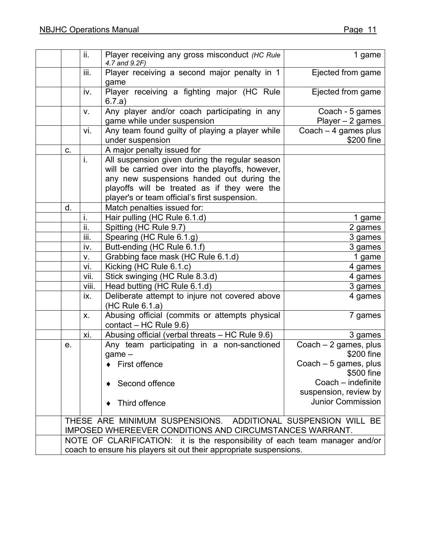|                                                                             | ii.   | Player receiving any gross misconduct (HC Rule               | 1 game                                            |
|-----------------------------------------------------------------------------|-------|--------------------------------------------------------------|---------------------------------------------------|
|                                                                             |       | 4.7 and 9.2F)                                                |                                                   |
|                                                                             | iii.  | Player receiving a second major penalty in 1                 | Ejected from game                                 |
|                                                                             |       | game                                                         |                                                   |
|                                                                             | iv.   | Player receiving a fighting major (HC Rule                   | Ejected from game                                 |
|                                                                             |       | 6.7.a)                                                       |                                                   |
|                                                                             | v.    | Any player and/or coach participating in any                 | Coach - 5 games                                   |
|                                                                             |       | game while under suspension                                  | Player $-2$ games                                 |
|                                                                             | vi.   | Any team found guilty of playing a player while              | Coach $-4$ games plus                             |
|                                                                             |       | under suspension                                             | \$200 fine                                        |
| C.                                                                          |       | A major penalty issued for                                   |                                                   |
|                                                                             | i.    | All suspension given during the regular season               |                                                   |
|                                                                             |       | will be carried over into the playoffs, however,             |                                                   |
|                                                                             |       | any new suspensions handed out during the                    |                                                   |
|                                                                             |       | playoffs will be treated as if they were the                 |                                                   |
|                                                                             |       | player's or team official's first suspension.                |                                                   |
| d.                                                                          |       | Match penalties issued for:                                  |                                                   |
|                                                                             | i.    | Hair pulling (HC Rule 6.1.d)                                 | 1 game                                            |
|                                                                             | ii.   | Spitting (HC Rule 9.7)                                       | 2 games                                           |
|                                                                             | iii.  | Spearing (HC Rule 6.1.g)                                     | 3 games                                           |
|                                                                             | iv.   | Butt-ending (HC Rule 6.1.f)                                  | 3 games                                           |
|                                                                             | v.    | Grabbing face mask (HC Rule 6.1.d)                           | 1 game                                            |
|                                                                             | vi.   | Kicking (HC Rule 6.1.c)                                      | 4 games                                           |
|                                                                             | vii.  | Stick swinging (HC Rule 8.3.d)                               | 4 games                                           |
|                                                                             | viii. | Head butting (HC Rule 6.1.d)                                 | 3 games                                           |
|                                                                             | ix.   | Deliberate attempt to injure not covered above               | 4 games                                           |
|                                                                             |       | (HC Rule 6.1.a)                                              |                                                   |
|                                                                             | X.    | Abusing official (commits or attempts physical               | 7 games                                           |
|                                                                             |       | contact $-$ HC Rule 9.6)                                     |                                                   |
|                                                                             | xi.   | Abusing official (verbal threats - HC Rule 9.6)              | 3 games                                           |
| е.                                                                          |       | Any team participating in a non-sanctioned                   | Coach $-2$ games, plus                            |
|                                                                             |       | game-                                                        | \$200 fine                                        |
|                                                                             |       | First offence                                                | Coach $-5$ games, plus                            |
|                                                                             |       |                                                              | \$500 fine                                        |
|                                                                             |       | Second offence                                               | Coach - indefinite                                |
|                                                                             |       |                                                              | suspension, review by<br><b>Junior Commission</b> |
|                                                                             |       | Third offence                                                |                                                   |
|                                                                             |       |                                                              |                                                   |
|                                                                             |       | THESE ARE MINIMUM SUSPENSIONS. ADDITIONAL SUSPENSION WILL BE |                                                   |
| IMPOSED WHEREEVER CONDITIONS AND CIRCUMSTANCES WARRANT.                     |       |                                                              |                                                   |
| NOTE OF CLARIFICATION: it is the responsibility of each team manager and/or |       |                                                              |                                                   |
| coach to ensure his players sit out their appropriate suspensions.          |       |                                                              |                                                   |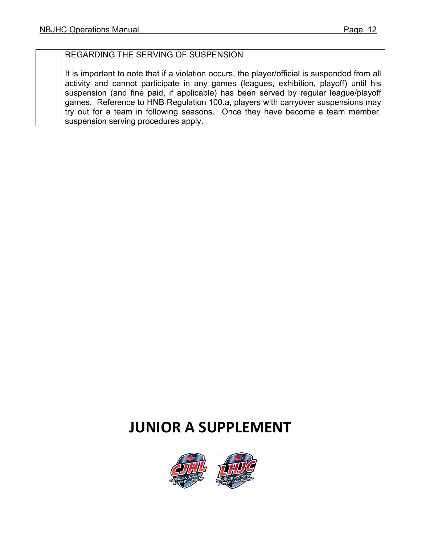# REGARDING THE SERVING OF SUSPENSION

It is important to note that if a violation occurs, the player/official is suspended from all activity and cannot participate in any games (leagues, exhibition, playoff) until his suspension (and fine paid, if applicable) has been served by regular league/playoff games. Reference to HNB Regulation 100.a, players with carryover suspensions may try out for a team in following seasons. Once they have become a team member, suspension serving procedures apply.

# **JUNIOR A SUPPLEMENT**

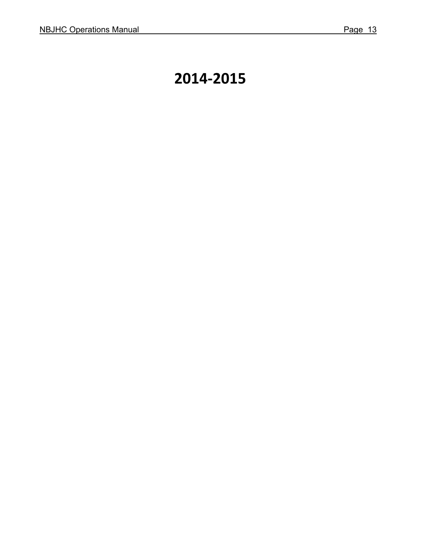# **2014-2015**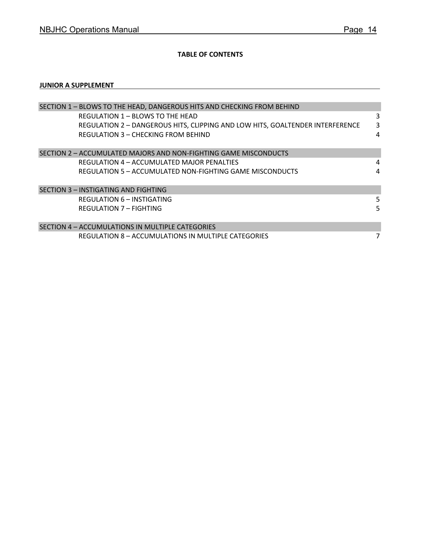#### **TABLE OF CONTENTS**

#### **JUNIOR A SUPPLEMENT**

| SECTION 1 - BLOWS TO THE HEAD, DANGEROUS HITS AND CHECKING FROM BEHIND        |   |  |  |  |  |
|-------------------------------------------------------------------------------|---|--|--|--|--|
| <b>REGULATION 1 - BLOWS TO THE HEAD</b>                                       | 3 |  |  |  |  |
| REGULATION 2 - DANGEROUS HITS, CLIPPING AND LOW HITS, GOALTENDER INTERFERENCE | 3 |  |  |  |  |
| REGULATION 3 - CHECKING FROM BEHIND                                           | 4 |  |  |  |  |
|                                                                               |   |  |  |  |  |
| SECTION 2 - ACCUMULATED MAJORS AND NON-FIGHTING GAME MISCONDUCTS              |   |  |  |  |  |
| REGULATION 4 – ACCUMULATED MAJOR PENALTIES                                    | 4 |  |  |  |  |
| REGULATION 5 - ACCUMULATED NON-FIGHTING GAME MISCONDUCTS                      | 4 |  |  |  |  |
|                                                                               |   |  |  |  |  |
| SECTION 3 - INSTIGATING AND FIGHTING                                          |   |  |  |  |  |
| REGULATION 6 - INSTIGATING                                                    | 5 |  |  |  |  |
| <b>REGULATION 7 - FIGHTING</b>                                                |   |  |  |  |  |
|                                                                               |   |  |  |  |  |
| SECTION 4 - ACCUMULATIONS IN MULTIPLE CATEGORIES                              |   |  |  |  |  |
| REGULATION 8 – ACCUMULATIONS IN MULTIPLE CATEGORIES                           | 7 |  |  |  |  |
|                                                                               |   |  |  |  |  |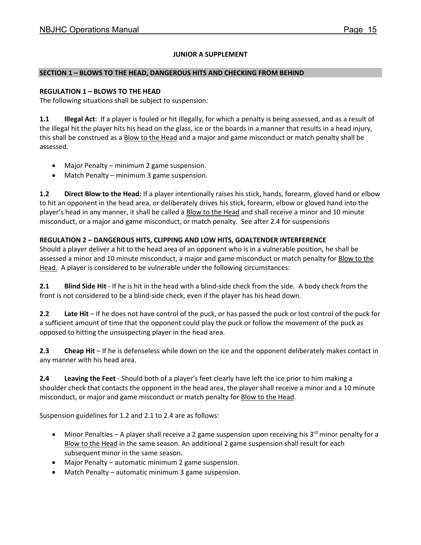#### **JUNIOR A SUPPLEMENT**

#### **SECTION 1 – BLOWS TO THE HEAD, DANGEROUS HITS AND CHECKING FROM BEHIND**

#### **REGULATION 1 – BLOWS TO THE HEAD**

The following situations shall be subject to suspension:

**1.1 Illegal Act**: If a player is fouled or hit illegally, for which a penalty is being assessed, and as a result of the illegal hit the player hits his head on the glass, ice or the boards in a manner that results in a head injury, this shall be construed as a Blow to the Head and a major and game misconduct or match penalty shall be assessed.

- Major Penalty minimum 2 game suspension.
- Match Penalty minimum 3 game suspension.

**1.2 Direct Blow to the Head:** If a player intentionally raises his stick, hands, forearm, gloved hand or elbow to hit an opponent in the head area, or deliberately drives his stick, forearm, elbow or gloved hand into the player's head in any manner, it shall be called a **Blow to the Head and shall receive a minor and 10 minute** misconduct, or a major and game misconduct, or match penalty. See after 2.4 for suspensions

#### **REGULATION 2 – DANGEROUS HITS, CLIPPING AND LOW HITS, GOALTENDER INTERFERENCE**

Should a player deliver a hit to the head area of an opponent who is in a vulnerable position, he shall be assessed a minor and 10 minute misconduct, a major and game misconduct or match penalty for **Blow to the** Head. A player is considered to be vulnerable under the following circumstances:

**2.1 Blind Side Hit** - If he is hit in the head with a blind-side check from the side. A body check from the front is not considered to be a blind-side check, even if the player has his head down.

**2.2 Late Hit** – If he does not have control of the puck, or has passed the puck or lost control of the puck for a sufficient amount of time that the opponent could play the puck or follow the movement of the puck as opposed to hitting the unsuspecting player in the head area.

**2.3 Cheap Hit** – If he is defenseless while down on the ice and the opponent deliberately makes contact in any manner with his head area.

**2.4 Leaving the Feet** - Should both of a player's feet clearly have left the ice prior to him making a shoulder check that contacts the opponent in the head area, the player shall receive a minor and a 10 minute misconduct, or major and game misconduct or match penalty for **Blow to the Head.** 

Suspension guidelines for 1.2 and 2.1 to 2.4 are as follows:

- Minor Penalties A player shall receive a 2 game suspension upon receiving his  $3<sup>rd</sup>$  minor penalty for a Blow to the Head in the same season. An additional 2 game suspension shall result for each subsequent minor in the same season.
- Major Penalty automatic minimum 2 game suspension.
- Match Penalty automatic minimum 3 game suspension.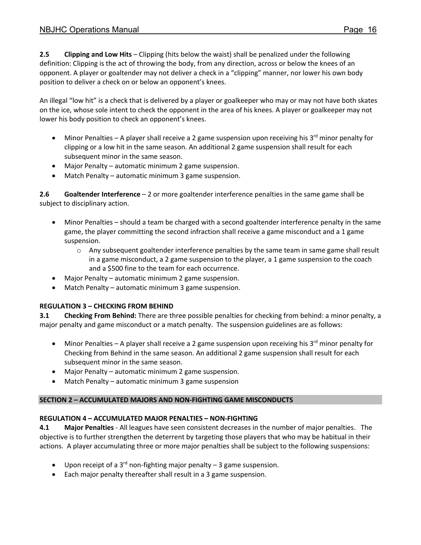**2.5 Clipping and Low Hits** – Clipping (hits below the waist) shall be penalized under the following definition: Clipping is the act of throwing the body, from any direction, across or below the knees of an opponent. A player or goaltender may not deliver a check in a "clipping" manner, nor lower his own body position to deliver a check on or below an opponent's knees.

An illegal "low hit" is a check that is delivered by a player or goalkeeper who may or may not have both skates on the ice, whose sole intent to check the opponent in the area of his knees. A player or goalkeeper may not lower his body position to check an opponent's knees.

- Minor Penalties A player shall receive a 2 game suspension upon receiving his 3<sup>rd</sup> minor penalty for clipping or a low hit in the same season. An additional 2 game suspension shall result for each subsequent minor in the same season.
- Major Penalty automatic minimum 2 game suspension.
- Match Penalty automatic minimum 3 game suspension.

**2.6 Goaltender Interference** – 2 or more goaltender interference penalties in the same game shall be subject to disciplinary action.

- Minor Penalties should a team be charged with a second goaltender interference penalty in the same game, the player committing the second infraction shall receive a game misconduct and a 1 game suspension.
	- o Any subsequent goaltender interference penalties by the same team in same game shall result in a game misconduct, a 2 game suspension to the player, a 1 game suspension to the coach and a \$500 fine to the team for each occurrence.
- Major Penalty automatic minimum 2 game suspension.
- Match Penalty automatic minimum 3 game suspension.

#### **REGULATION 3 – CHECKING FROM BEHIND**

**3.1 Checking From Behind:** There are three possible penalties for checking from behind: a minor penalty, a major penalty and game misconduct or a match penalty. The suspension guidelines are as follows:

- Minor Penalties A player shall receive a 2 game suspension upon receiving his  $3^{rd}$  minor penalty for Checking from Behind in the same season. An additional 2 game suspension shall result for each subsequent minor in the same season.
- Major Penalty automatic minimum 2 game suspension.
- Match Penalty automatic minimum 3 game suspension

#### **SECTION 2 – ACCUMULATED MAJORS AND NON-FIGHTING GAME MISCONDUCTS**

#### **REGULATION 4 – ACCUMULATED MAJOR PENALTIES – NON-FIGHTING**

**4.1 Major Penalties** - All leagues have seen consistent decreases in the number of major penalties. The objective is to further strengthen the deterrent by targeting those players that who may be habitual in their actions. A player accumulating three or more major penalties shall be subject to the following suspensions:

- Upon receipt of a  $3^{rd}$  non-fighting major penalty 3 game suspension.
- Each major penalty thereafter shall result in a 3 game suspension.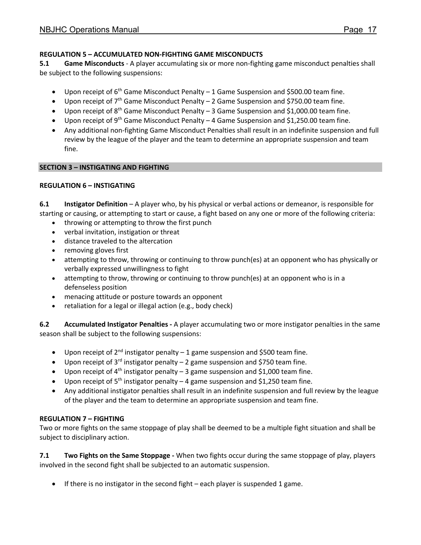#### **REGULATION 5 – ACCUMULATED NON-FIGHTING GAME MISCONDUCTS**

**5.1 Game Misconducts** - A player accumulating six or more non-fighting game misconduct penalties shall be subject to the following suspensions:

- Upon receipt of  $6<sup>th</sup>$  Game Misconduct Penalty 1 Game Suspension and \$500.00 team fine.
- Upon receipt of  $7<sup>th</sup>$  Game Misconduct Penalty 2 Game Suspension and \$750.00 team fine.
- Upon receipt of  $8<sup>th</sup>$  Game Misconduct Penalty 3 Game Suspension and \$1,000.00 team fine.
- Upon receipt of  $9<sup>th</sup>$  Game Misconduct Penalty 4 Game Suspension and \$1,250.00 team fine.
- Any additional non-fighting Game Misconduct Penalties shall result in an indefinite suspension and full review by the league of the player and the team to determine an appropriate suspension and team fine.

#### **SECTION 3 – INSTIGATING AND FIGHTING**

#### **REGULATION 6 – INSTIGATING**

**6.1 Instigator Definition** – A player who, by his physical or verbal actions or demeanor, is responsible for starting or causing, or attempting to start or cause, a fight based on any one or more of the following criteria:

- throwing or attempting to throw the first punch
- verbal invitation, instigation or threat
- distance traveled to the altercation
- removing gloves first
- attempting to throw, throwing or continuing to throw punch(es) at an opponent who has physically or verbally expressed unwillingness to fight
- attempting to throw, throwing or continuing to throw punch(es) at an opponent who is in a defenseless position
- menacing attitude or posture towards an opponent
- retaliation for a legal or illegal action (e.g., body check)

**6.2 Accumulated Instigator Penalties -** A player accumulating two or more instigator penalties in the same season shall be subject to the following suspensions:

- Upon receipt of  $2^{nd}$  instigator penalty 1 game suspension and \$500 team fine.
- Upon receipt of  $3^{rd}$  instigator penalty 2 game suspension and \$750 team fine.
- Upon receipt of  $4<sup>th</sup>$  instigator penalty 3 game suspension and \$1,000 team fine.
- Upon receipt of  $5<sup>th</sup>$  instigator penalty 4 game suspension and \$1,250 team fine.
- Any additional instigator penalties shall result in an indefinite suspension and full review by the league of the player and the team to determine an appropriate suspension and team fine.

#### **REGULATION 7 – FIGHTING**

Two or more fights on the same stoppage of play shall be deemed to be a multiple fight situation and shall be subject to disciplinary action.

**7.1 Two Fights on the Same Stoppage -** When two fights occur during the same stoppage of play, players involved in the second fight shall be subjected to an automatic suspension.

• If there is no instigator in the second fight – each player is suspended 1 game.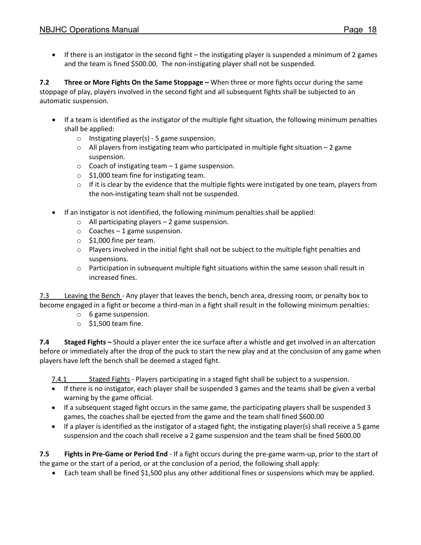• If there is an instigator in the second fight – the instigating player is suspended a minimum of 2 games and the team is fined \$500.00. The non-instigating player shall not be suspended.

**7.2 Three or More Fights On the Same Stoppage –** When three or more fights occur during the same stoppage of play, players involved in the second fight and all subsequent fights shall be subjected to an automatic suspension.

- If a team is identified as the instigator of the multiple fight situation, the following minimum penalties shall be applied:
	- o Instigating player(s) 5 game suspension.
	- o All players from instigating team who participated in multiple fight situation 2 game suspension.
	- $\circ$  Coach of instigating team 1 game suspension.
	- o \$1,000 team fine for instigating team.
	- $\circ$  If it is clear by the evidence that the multiple fights were instigated by one team, players from the non-instigating team shall not be suspended.
- If an instigator is not identified, the following minimum penalties shall be applied:
	- $\circ$  All participating players 2 game suspension.
	- $\circ$  Coaches 1 game suspension.
	- $\circ$  \$1,000 fine per team.
	- o Players involved in the initial fight shall not be subject to the multiple fight penalties and suspensions.
	- $\circ$  Participation in subsequent multiple fight situations within the same season shall result in increased fines.

7.3 Leaving the Bench - Any player that leaves the bench, bench area, dressing room, or penalty box to become engaged in a fight or become a third-man in a fight shall result in the following minimum penalties:

- o 6 game suspension.
- $\circ$  \$1,500 team fine.

**7.4 Staged Fights –** Should a player enter the ice surface after a whistle and get involved in an altercation before or immediately after the drop of the puck to start the new play and at the conclusion of any game when players have left the bench shall be deemed a staged fight.

7.4.1 Staged Fights - Players participating in a staged fight shall be subject to a suspension.

- If there is no instigator, each player shall be suspended 3 games and the teams shall be given a verbal warning by the game official.
- If a subsequent staged fight occurs in the same game, the participating players shall be suspended 3 games, the coaches shall be ejected from the game and the team shall fined \$600.00
- If a player is identified as the instigator of a staged fight, the instigating player(s) shall receive a 5 game suspension and the coach shall receive a 2 game suspension and the team shall be fined \$600.00

**7.5 Fights in Pre-Game or Period End** - If a fight occurs during the pre-game warm-up, prior to the start of the game or the start of a period, or at the conclusion of a period, the following shall apply:

• Each team shall be fined \$1,500 plus any other additional fines or suspensions which may be applied.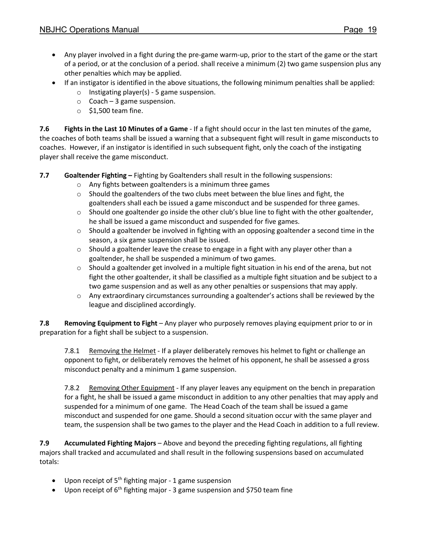- Any player involved in a fight during the pre-game warm-up, prior to the start of the game or the start of a period, or at the conclusion of a period. shall receive a minimum (2) two game suspension plus any other penalties which may be applied.
- If an instigator is identified in the above situations, the following minimum penalties shall be applied:
	- $\circ$  Instigating player(s) 5 game suspension.
	- $\circ$  Coach 3 game suspension.
	- $\circ$  \$1,500 team fine.

**7.6 Fights in the Last 10 Minutes of a Game** - If a fight should occur in the last ten minutes of the game, the coaches of both teams shall be issued a warning that a subsequent fight will result in game misconducts to coaches. However, if an instigator is identified in such subsequent fight, only the coach of the instigating player shall receive the game misconduct.

**7.7 Goaltender Fighting –** Fighting by Goaltenders shall result in the following suspensions:

- o Any fights between goaltenders is a minimum three games
- $\circ$  Should the goaltenders of the two clubs meet between the blue lines and fight, the goaltenders shall each be issued a game misconduct and be suspended for three games.
- $\circ$  Should one goaltender go inside the other club's blue line to fight with the other goaltender, he shall be issued a game misconduct and suspended for five games.
- $\circ$  Should a goaltender be involved in fighting with an opposing goaltender a second time in the season, a six game suspension shall be issued.
- $\circ$  Should a goaltender leave the crease to engage in a fight with any player other than a goaltender, he shall be suspended a minimum of two games.
- $\circ$  Should a goaltender get involved in a multiple fight situation in his end of the arena, but not fight the other goaltender, it shall be classified as a multiple fight situation and be subject to a two game suspension and as well as any other penalties or suspensions that may apply.
- $\circ$  Any extraordinary circumstances surrounding a goaltender's actions shall be reviewed by the league and disciplined accordingly.

**7.8 Removing Equipment to Fight** – Any player who purposely removes playing equipment prior to or in preparation for a fight shall be subject to a suspension.

7.8.1 Removing the Helmet - If a player deliberately removes his helmet to fight or challenge an opponent to fight, or deliberately removes the helmet of his opponent, he shall be assessed a gross misconduct penalty and a minimum 1 game suspension.

7.8.2 Removing Other Equipment - If any player leaves any equipment on the bench in preparation for a fight, he shall be issued a game misconduct in addition to any other penalties that may apply and suspended for a minimum of one game. The Head Coach of the team shall be issued a game misconduct and suspended for one game. Should a second situation occur with the same player and team, the suspension shall be two games to the player and the Head Coach in addition to a full review.

**7.9 Accumulated Fighting Majors** – Above and beyond the preceding fighting regulations, all fighting majors shall tracked and accumulated and shall result in the following suspensions based on accumulated totals:

- Upon receipt of  $5<sup>th</sup>$  fighting major 1 game suspension
- Upon receipt of  $6<sup>th</sup>$  fighting major 3 game suspension and \$750 team fine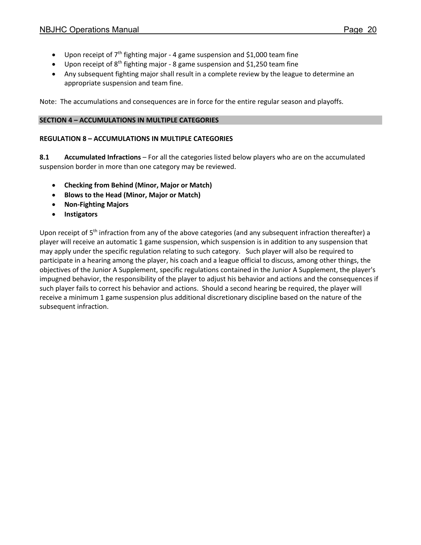- Upon receipt of  $7<sup>th</sup>$  fighting major 4 game suspension and \$1,000 team fine
- Upon receipt of  $8<sup>th</sup>$  fighting major 8 game suspension and \$1,250 team fine
- Any subsequent fighting major shall result in a complete review by the league to determine an appropriate suspension and team fine.

Note: The accumulations and consequences are in force for the entire regular season and playoffs.

#### **SECTION 4 – ACCUMULATIONS IN MULTIPLE CATEGORIES**

#### **REGULATION 8 – ACCUMULATIONS IN MULTIPLE CATEGORIES**

**8.1 Accumulated Infractions** – For all the categories listed below players who are on the accumulated suspension border in more than one category may be reviewed.

- **Checking from Behind (Minor, Major or Match)**
- **Blows to the Head (Minor, Major or Match)**
- **Non-Fighting Majors**
- **Instigators**

Upon receipt of 5<sup>th</sup> infraction from any of the above categories (and any subsequent infraction thereafter) a player will receive an automatic 1 game suspension, which suspension is in addition to any suspension that may apply under the specific regulation relating to such category. Such player will also be required to participate in a hearing among the player, his coach and a league official to discuss, among other things, the objectives of the Junior A Supplement, specific regulations contained in the Junior A Supplement, the player's impugned behavior, the responsibility of the player to adjust his behavior and actions and the consequences if such player fails to correct his behavior and actions. Should a second hearing be required, the player will receive a minimum 1 game suspension plus additional discretionary discipline based on the nature of the subsequent infraction.